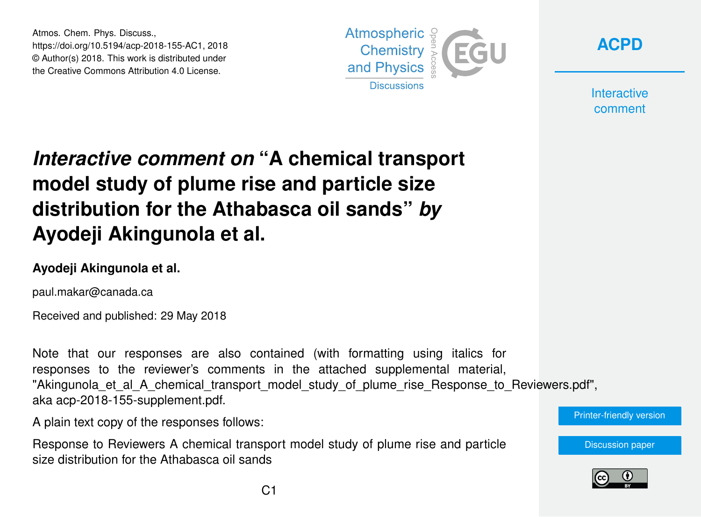Atmos. Chem. Phys. Discuss., https://doi.org/10.5194/acp-2018-155-AC1, 2018 © Author(s) 2018. This work is distributed under the Creative Commons Attribution 4.0 License.





**Interactive** comment

# *Interactive comment on* **"A chemical transport model study of plume rise and particle size distribution for the Athabasca oil sands"** *by* **Ayodeji Akingunola et al.**

#### **Ayodeji Akingunola et al.**

paul.makar@canada.ca

Received and published: 29 May 2018

Note that our responses are also contained (with formatting using italics for responses to the reviewer's comments in the attached supplemental material, "Akingunola et al A chemical transport model study of plume rise Response to Reviewers.pdf", aka acp-2018-155-supplement.pdf.

A plain text copy of the responses follows:

Response to Reviewers A chemical transport model study of plume rise and particle size distribution for the Athabasca oil sands



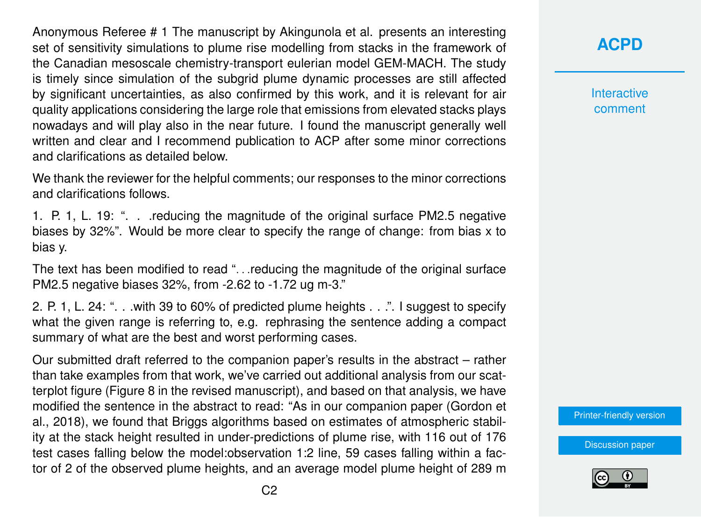Anonymous Referee # 1 The manuscript by Akingunola et al. presents an interesting set of sensitivity simulations to plume rise modelling from stacks in the framework of the Canadian mesoscale chemistry-transport eulerian model GEM-MACH. The study is timely since simulation of the subgrid plume dynamic processes are still affected by significant uncertainties, as also confirmed by this work, and it is relevant for air quality applications considering the large role that emissions from elevated stacks plays nowadays and will play also in the near future. I found the manuscript generally well written and clear and I recommend publication to ACP after some minor corrections and clarifications as detailed below.

We thank the reviewer for the helpful comments; our responses to the minor corrections and clarifications follows.

1. P. 1, L. 19: ". . .reducing the magnitude of the original surface PM2.5 negative biases by 32%". Would be more clear to specify the range of change: from bias x to bias y.

The text has been modified to read ". . .reducing the magnitude of the original surface PM2.5 negative biases 32%, from -2.62 to -1.72 ug m-3."

2. P. 1, L. 24: ". . .with 39 to 60% of predicted plume heights . . .". I suggest to specify what the given range is referring to, e.g. rephrasing the sentence adding a compact summary of what are the best and worst performing cases.

Our submitted draft referred to the companion paper's results in the abstract – rather than take examples from that work, we've carried out additional analysis from our scatterplot figure (Figure 8 in the revised manuscript), and based on that analysis, we have modified the sentence in the abstract to read: "As in our companion paper (Gordon et al., 2018), we found that Briggs algorithms based on estimates of atmospheric stability at the stack height resulted in under-predictions of plume rise, with 116 out of 176 test cases falling below the model:observation 1:2 line, 59 cases falling within a factor of 2 of the observed plume heights, and an average model plume height of 289 m **[ACPD](https://www.atmos-chem-phys-discuss.net/)**

**Interactive** comment

[Printer-friendly version](https://www.atmos-chem-phys-discuss.net/acp-2018-155/acp-2018-155-AC1-print.pdf)

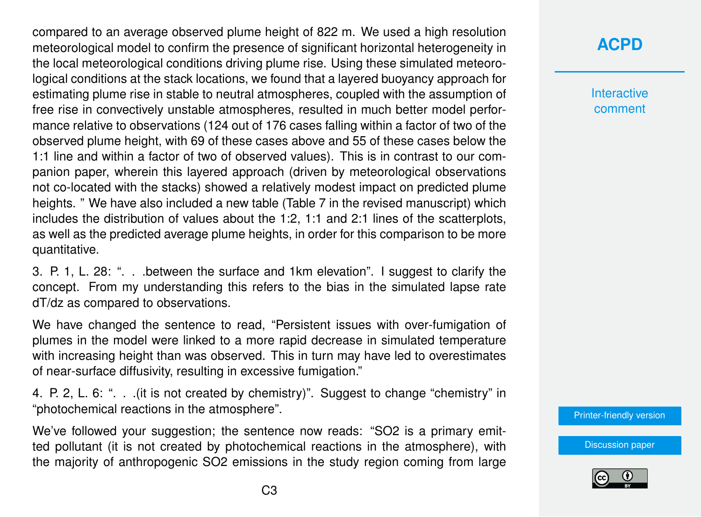compared to an average observed plume height of 822 m. We used a high resolution meteorological model to confirm the presence of significant horizontal heterogeneity in the local meteorological conditions driving plume rise. Using these simulated meteorological conditions at the stack locations, we found that a layered buoyancy approach for estimating plume rise in stable to neutral atmospheres, coupled with the assumption of free rise in convectively unstable atmospheres, resulted in much better model performance relative to observations (124 out of 176 cases falling within a factor of two of the observed plume height, with 69 of these cases above and 55 of these cases below the 1:1 line and within a factor of two of observed values). This is in contrast to our companion paper, wherein this layered approach (driven by meteorological observations not co-located with the stacks) showed a relatively modest impact on predicted plume heights. " We have also included a new table (Table 7 in the revised manuscript) which includes the distribution of values about the 1:2, 1:1 and 2:1 lines of the scatterplots, as well as the predicted average plume heights, in order for this comparison to be more quantitative.

3. P. 1, L. 28: ". . .between the surface and 1km elevation". I suggest to clarify the concept. From my understanding this refers to the bias in the simulated lapse rate dT/dz as compared to observations.

We have changed the sentence to read, "Persistent issues with over-fumigation of plumes in the model were linked to a more rapid decrease in simulated temperature with increasing height than was observed. This in turn may have led to overestimates of near-surface diffusivity, resulting in excessive fumigation."

4. P. 2, L. 6: ". . .(it is not created by chemistry)". Suggest to change "chemistry" in "photochemical reactions in the atmosphere".

We've followed your suggestion; the sentence now reads: "SO2 is a primary emitted pollutant (it is not created by photochemical reactions in the atmosphere), with the majority of anthropogenic SO2 emissions in the study region coming from large

#### **[ACPD](https://www.atmos-chem-phys-discuss.net/)**

**Interactive** comment

[Printer-friendly version](https://www.atmos-chem-phys-discuss.net/acp-2018-155/acp-2018-155-AC1-print.pdf)

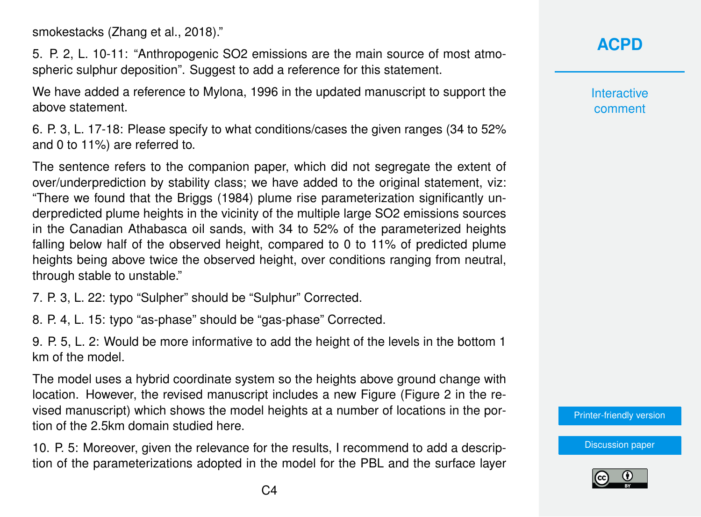smokestacks (Zhang et al., 2018)."

5. P. 2, L. 10-11: "Anthropogenic SO2 emissions are the main source of most atmospheric sulphur deposition". Suggest to add a reference for this statement.

We have added a reference to Mylona, 1996 in the updated manuscript to support the above statement.

6. P. 3, L. 17-18: Please specify to what conditions/cases the given ranges (34 to 52% and 0 to 11%) are referred to.

The sentence refers to the companion paper, which did not segregate the extent of over/underprediction by stability class; we have added to the original statement, viz: "There we found that the Briggs (1984) plume rise parameterization significantly underpredicted plume heights in the vicinity of the multiple large SO2 emissions sources in the Canadian Athabasca oil sands, with 34 to 52% of the parameterized heights falling below half of the observed height, compared to 0 to 11% of predicted plume heights being above twice the observed height, over conditions ranging from neutral, through stable to unstable."

7. P. 3, L. 22: typo "Sulpher" should be "Sulphur" Corrected.

8. P. 4, L. 15: typo "as-phase" should be "gas-phase" Corrected.

9. P. 5, L. 2: Would be more informative to add the height of the levels in the bottom 1 km of the model.

The model uses a hybrid coordinate system so the heights above ground change with location. However, the revised manuscript includes a new Figure (Figure 2 in the revised manuscript) which shows the model heights at a number of locations in the portion of the 2.5km domain studied here.

10. P. 5: Moreover, given the relevance for the results, I recommend to add a description of the parameterizations adopted in the model for the PBL and the surface layer **[ACPD](https://www.atmos-chem-phys-discuss.net/)**

**Interactive** comment

[Printer-friendly version](https://www.atmos-chem-phys-discuss.net/acp-2018-155/acp-2018-155-AC1-print.pdf)

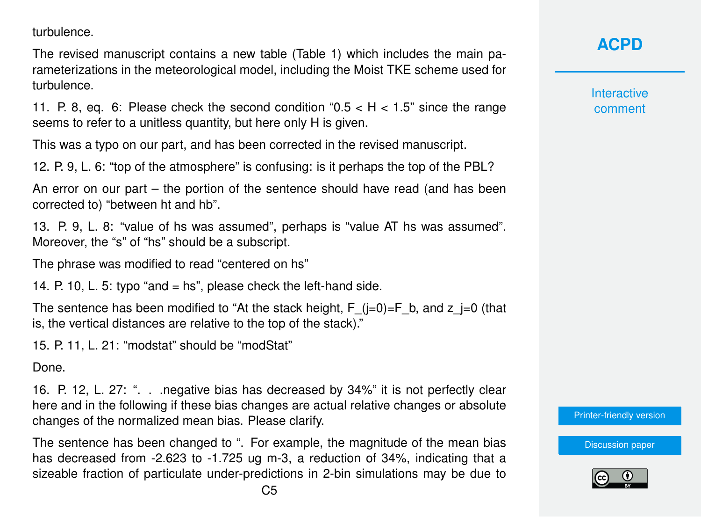turbulence.

The revised manuscript contains a new table (Table 1) which includes the main parameterizations in the meteorological model, including the Moist TKE scheme used for turbulence.

11. P. 8, eq. 6: Please check the second condition " $0.5 < H < 1.5$ " since the range seems to refer to a unitless quantity, but here only H is given.

This was a typo on our part, and has been corrected in the revised manuscript.

12. P. 9, L. 6: "top of the atmosphere" is confusing: is it perhaps the top of the PBL?

An error on our part – the portion of the sentence should have read (and has been corrected to) "between ht and hb".

13. P. 9, L. 8: "value of hs was assumed", perhaps is "value AT hs was assumed". Moreover, the "s" of "hs" should be a subscript.

The phrase was modified to read "centered on hs"

14. P. 10, L. 5: typo "and = hs", please check the left-hand side.

The sentence has been modified to "At the stack height, F  $(i=0)=F$  b, and z  $j=0$  (that is, the vertical distances are relative to the top of the stack)."

15. P. 11, L. 21: "modstat" should be "modStat"

Done.

16. P. 12, L. 27: ". . .negative bias has decreased by 34%" it is not perfectly clear here and in the following if these bias changes are actual relative changes or absolute changes of the normalized mean bias. Please clarify.

The sentence has been changed to ". For example, the magnitude of the mean bias has decreased from -2.623 to -1.725 ug m-3, a reduction of 34%, indicating that a sizeable fraction of particulate under-predictions in 2-bin simulations may be due to

### **[ACPD](https://www.atmos-chem-phys-discuss.net/)**

**Interactive** comment

[Printer-friendly version](https://www.atmos-chem-phys-discuss.net/acp-2018-155/acp-2018-155-AC1-print.pdf)

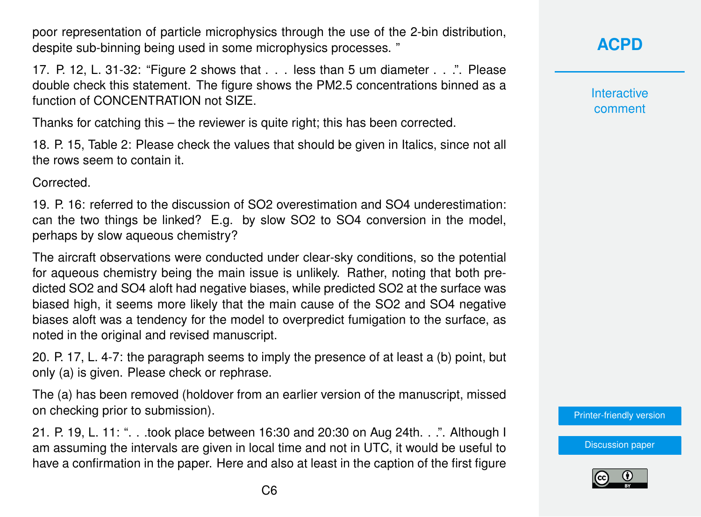poor representation of particle microphysics through the use of the 2-bin distribution, despite sub-binning being used in some microphysics processes. "

17. P. 12, L. 31-32: "Figure 2 shows that . . . less than 5 um diameter . . .". Please double check this statement. The figure shows the PM2.5 concentrations binned as a function of CONCENTRATION not SIZE.

Thanks for catching this – the reviewer is quite right; this has been corrected.

18. P. 15, Table 2: Please check the values that should be given in Italics, since not all the rows seem to contain it.

Corrected.

19. P. 16: referred to the discussion of SO2 overestimation and SO4 underestimation: can the two things be linked? E.g. by slow SO2 to SO4 conversion in the model, perhaps by slow aqueous chemistry?

The aircraft observations were conducted under clear-sky conditions, so the potential for aqueous chemistry being the main issue is unlikely. Rather, noting that both predicted SO2 and SO4 aloft had negative biases, while predicted SO2 at the surface was biased high, it seems more likely that the main cause of the SO2 and SO4 negative biases aloft was a tendency for the model to overpredict fumigation to the surface, as noted in the original and revised manuscript.

20. P. 17, L. 4-7: the paragraph seems to imply the presence of at least a (b) point, but only (a) is given. Please check or rephrase.

The (a) has been removed (holdover from an earlier version of the manuscript, missed on checking prior to submission).

21. P. 19, L. 11: ". . .took place between 16:30 and 20:30 on Aug 24th. . .". Although I am assuming the intervals are given in local time and not in UTC, it would be useful to have a confirmation in the paper. Here and also at least in the caption of the first figure **[ACPD](https://www.atmos-chem-phys-discuss.net/)**

**Interactive** comment

[Printer-friendly version](https://www.atmos-chem-phys-discuss.net/acp-2018-155/acp-2018-155-AC1-print.pdf)

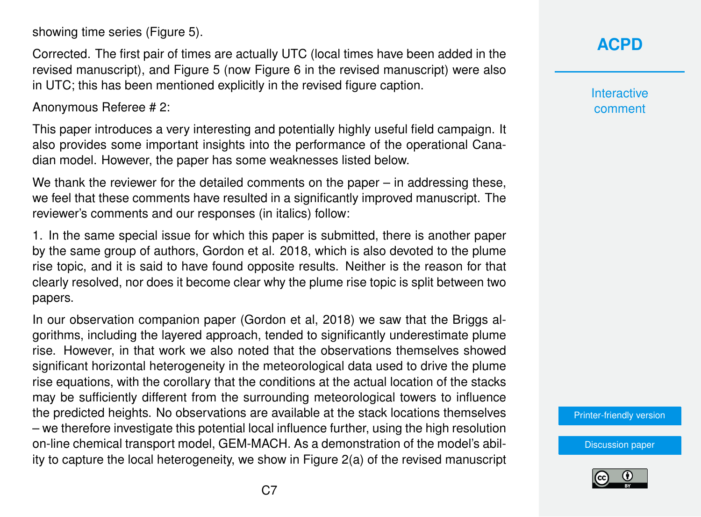showing time series (Figure 5).

Corrected. The first pair of times are actually UTC (local times have been added in the revised manuscript), and Figure 5 (now Figure 6 in the revised manuscript) were also in UTC; this has been mentioned explicitly in the revised figure caption.

Anonymous Referee # 2:

This paper introduces a very interesting and potentially highly useful field campaign. It also provides some important insights into the performance of the operational Canadian model. However, the paper has some weaknesses listed below.

We thank the reviewer for the detailed comments on the paper – in addressing these, we feel that these comments have resulted in a significantly improved manuscript. The reviewer's comments and our responses (in italics) follow:

1. In the same special issue for which this paper is submitted, there is another paper by the same group of authors, Gordon et al. 2018, which is also devoted to the plume rise topic, and it is said to have found opposite results. Neither is the reason for that clearly resolved, nor does it become clear why the plume rise topic is split between two papers.

In our observation companion paper (Gordon et al, 2018) we saw that the Briggs algorithms, including the layered approach, tended to significantly underestimate plume rise. However, in that work we also noted that the observations themselves showed significant horizontal heterogeneity in the meteorological data used to drive the plume rise equations, with the corollary that the conditions at the actual location of the stacks may be sufficiently different from the surrounding meteorological towers to influence the predicted heights. No observations are available at the stack locations themselves – we therefore investigate this potential local influence further, using the high resolution on-line chemical transport model, GEM-MACH. As a demonstration of the model's ability to capture the local heterogeneity, we show in Figure 2(a) of the revised manuscript

### **[ACPD](https://www.atmos-chem-phys-discuss.net/)**

**Interactive** comment

[Printer-friendly version](https://www.atmos-chem-phys-discuss.net/acp-2018-155/acp-2018-155-AC1-print.pdf)

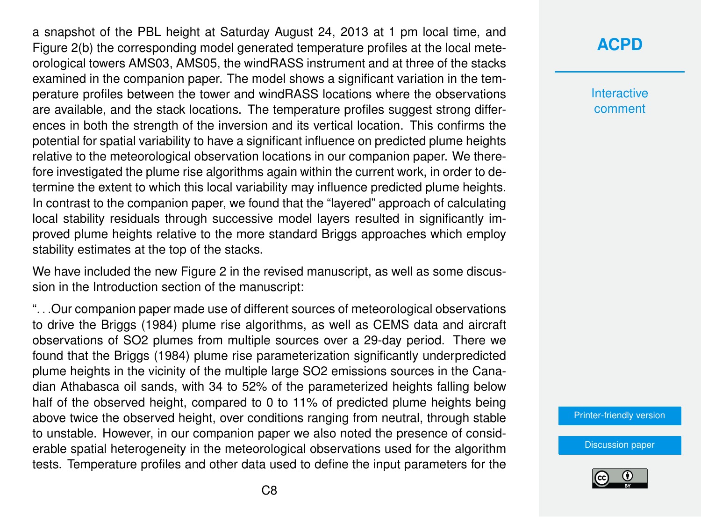a snapshot of the PBL height at Saturday August 24, 2013 at 1 pm local time, and Figure 2(b) the corresponding model generated temperature profiles at the local meteorological towers AMS03, AMS05, the windRASS instrument and at three of the stacks examined in the companion paper. The model shows a significant variation in the temperature profiles between the tower and windRASS locations where the observations are available, and the stack locations. The temperature profiles suggest strong differences in both the strength of the inversion and its vertical location. This confirms the potential for spatial variability to have a significant influence on predicted plume heights relative to the meteorological observation locations in our companion paper. We therefore investigated the plume rise algorithms again within the current work, in order to determine the extent to which this local variability may influence predicted plume heights. In contrast to the companion paper, we found that the "layered" approach of calculating local stability residuals through successive model layers resulted in significantly improved plume heights relative to the more standard Briggs approaches which employ stability estimates at the top of the stacks.

We have included the new Figure 2 in the revised manuscript, as well as some discussion in the Introduction section of the manuscript:

". . .Our companion paper made use of different sources of meteorological observations to drive the Briggs (1984) plume rise algorithms, as well as CEMS data and aircraft observations of SO2 plumes from multiple sources over a 29-day period. There we found that the Briggs (1984) plume rise parameterization significantly underpredicted plume heights in the vicinity of the multiple large SO2 emissions sources in the Canadian Athabasca oil sands, with 34 to 52% of the parameterized heights falling below half of the observed height, compared to 0 to 11% of predicted plume heights being above twice the observed height, over conditions ranging from neutral, through stable to unstable. However, in our companion paper we also noted the presence of considerable spatial heterogeneity in the meteorological observations used for the algorithm tests. Temperature profiles and other data used to define the input parameters for the **Interactive** comment

[Printer-friendly version](https://www.atmos-chem-phys-discuss.net/acp-2018-155/acp-2018-155-AC1-print.pdf)

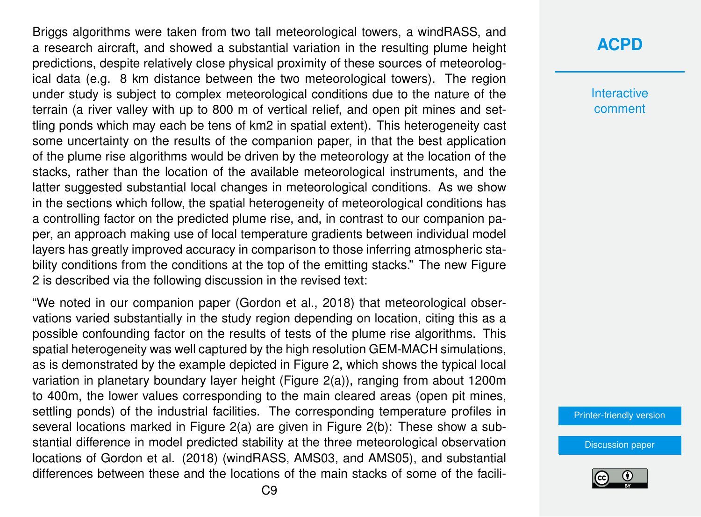Briggs algorithms were taken from two tall meteorological towers, a windRASS, and a research aircraft, and showed a substantial variation in the resulting plume height predictions, despite relatively close physical proximity of these sources of meteorological data (e.g. 8 km distance between the two meteorological towers). The region under study is subject to complex meteorological conditions due to the nature of the terrain (a river valley with up to 800 m of vertical relief, and open pit mines and settling ponds which may each be tens of km2 in spatial extent). This heterogeneity cast some uncertainty on the results of the companion paper, in that the best application of the plume rise algorithms would be driven by the meteorology at the location of the stacks, rather than the location of the available meteorological instruments, and the latter suggested substantial local changes in meteorological conditions. As we show in the sections which follow, the spatial heterogeneity of meteorological conditions has a controlling factor on the predicted plume rise, and, in contrast to our companion paper, an approach making use of local temperature gradients between individual model layers has greatly improved accuracy in comparison to those inferring atmospheric stability conditions from the conditions at the top of the emitting stacks." The new Figure 2 is described via the following discussion in the revised text:

"We noted in our companion paper (Gordon et al., 2018) that meteorological observations varied substantially in the study region depending on location, citing this as a possible confounding factor on the results of tests of the plume rise algorithms. This spatial heterogeneity was well captured by the high resolution GEM-MACH simulations, as is demonstrated by the example depicted in Figure 2, which shows the typical local variation in planetary boundary layer height (Figure 2(a)), ranging from about 1200m to 400m, the lower values corresponding to the main cleared areas (open pit mines, settling ponds) of the industrial facilities. The corresponding temperature profiles in several locations marked in Figure 2(a) are given in Figure 2(b): These show a substantial difference in model predicted stability at the three meteorological observation locations of Gordon et al. (2018) (windRASS, AMS03, and AMS05), and substantial differences between these and the locations of the main stacks of some of the facili-

#### **[ACPD](https://www.atmos-chem-phys-discuss.net/)**

**Interactive** comment

[Printer-friendly version](https://www.atmos-chem-phys-discuss.net/acp-2018-155/acp-2018-155-AC1-print.pdf)

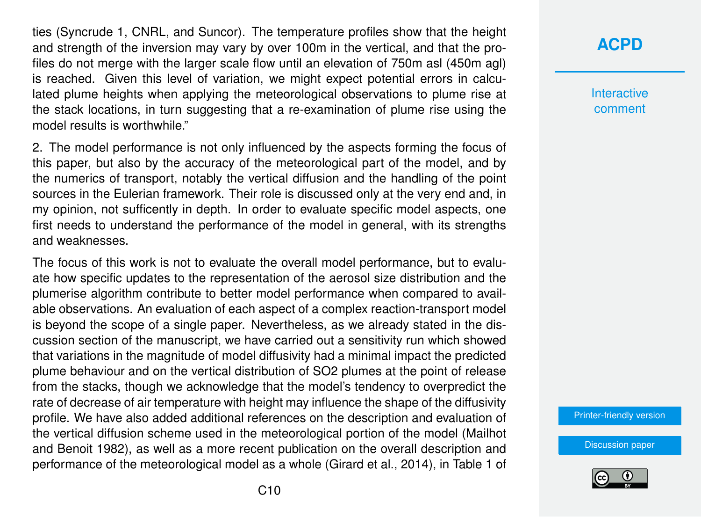ties (Syncrude 1, CNRL, and Suncor). The temperature profiles show that the height and strength of the inversion may vary by over 100m in the vertical, and that the profiles do not merge with the larger scale flow until an elevation of 750m asl (450m agl) is reached. Given this level of variation, we might expect potential errors in calculated plume heights when applying the meteorological observations to plume rise at the stack locations, in turn suggesting that a re-examination of plume rise using the model results is worthwhile."

2. The model performance is not only influenced by the aspects forming the focus of this paper, but also by the accuracy of the meteorological part of the model, and by the numerics of transport, notably the vertical diffusion and the handling of the point sources in the Eulerian framework. Their role is discussed only at the very end and, in my opinion, not sufficently in depth. In order to evaluate specific model aspects, one first needs to understand the performance of the model in general, with its strengths and weaknesses.

The focus of this work is not to evaluate the overall model performance, but to evaluate how specific updates to the representation of the aerosol size distribution and the plumerise algorithm contribute to better model performance when compared to available observations. An evaluation of each aspect of a complex reaction-transport model is beyond the scope of a single paper. Nevertheless, as we already stated in the discussion section of the manuscript, we have carried out a sensitivity run which showed that variations in the magnitude of model diffusivity had a minimal impact the predicted plume behaviour and on the vertical distribution of SO2 plumes at the point of release from the stacks, though we acknowledge that the model's tendency to overpredict the rate of decrease of air temperature with height may influence the shape of the diffusivity profile. We have also added additional references on the description and evaluation of the vertical diffusion scheme used in the meteorological portion of the model (Mailhot and Benoit 1982), as well as a more recent publication on the overall description and performance of the meteorological model as a whole (Girard et al., 2014), in Table 1 of

#### **[ACPD](https://www.atmos-chem-phys-discuss.net/)**

**Interactive** comment

[Printer-friendly version](https://www.atmos-chem-phys-discuss.net/acp-2018-155/acp-2018-155-AC1-print.pdf)

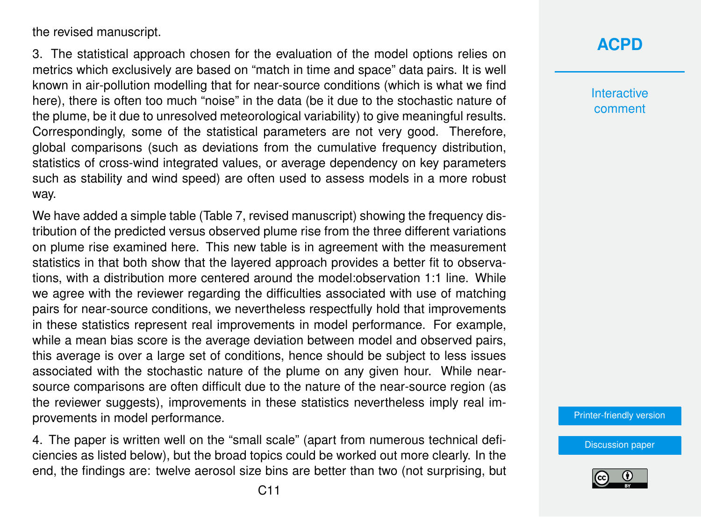the revised manuscript.

3. The statistical approach chosen for the evaluation of the model options relies on metrics which exclusively are based on "match in time and space" data pairs. It is well known in air-pollution modelling that for near-source conditions (which is what we find here), there is often too much "noise" in the data (be it due to the stochastic nature of the plume, be it due to unresolved meteorological variability) to give meaningful results. Correspondingly, some of the statistical parameters are not very good. Therefore, global comparisons (such as deviations from the cumulative frequency distribution, statistics of cross-wind integrated values, or average dependency on key parameters such as stability and wind speed) are often used to assess models in a more robust way.

We have added a simple table (Table 7, revised manuscript) showing the frequency distribution of the predicted versus observed plume rise from the three different variations on plume rise examined here. This new table is in agreement with the measurement statistics in that both show that the layered approach provides a better fit to observations, with a distribution more centered around the model:observation 1:1 line. While we agree with the reviewer regarding the difficulties associated with use of matching pairs for near-source conditions, we nevertheless respectfully hold that improvements in these statistics represent real improvements in model performance. For example, while a mean bias score is the average deviation between model and observed pairs, this average is over a large set of conditions, hence should be subject to less issues associated with the stochastic nature of the plume on any given hour. While nearsource comparisons are often difficult due to the nature of the near-source region (as the reviewer suggests), improvements in these statistics nevertheless imply real improvements in model performance.

4. The paper is written well on the "small scale" (apart from numerous technical deficiencies as listed below), but the broad topics could be worked out more clearly. In the end, the findings are: twelve aerosol size bins are better than two (not surprising, but **Interactive** comment

[Printer-friendly version](https://www.atmos-chem-phys-discuss.net/acp-2018-155/acp-2018-155-AC1-print.pdf)

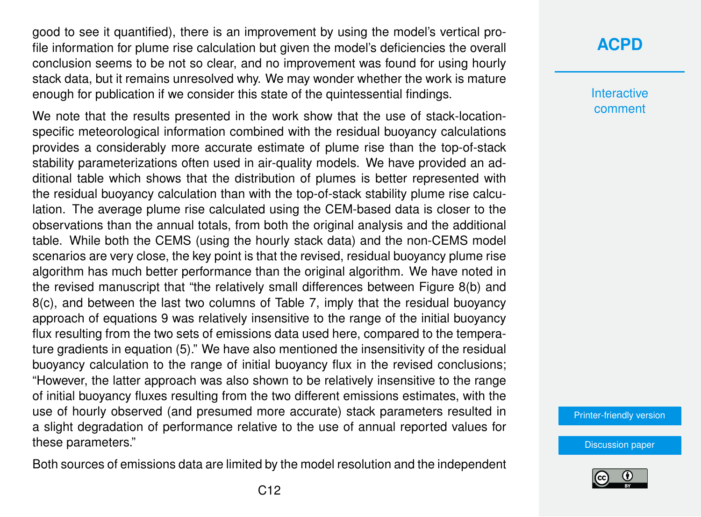good to see it quantified), there is an improvement by using the model's vertical profile information for plume rise calculation but given the model's deficiencies the overall conclusion seems to be not so clear, and no improvement was found for using hourly stack data, but it remains unresolved why. We may wonder whether the work is mature enough for publication if we consider this state of the quintessential findings.

We note that the results presented in the work show that the use of stack-locationspecific meteorological information combined with the residual buoyancy calculations provides a considerably more accurate estimate of plume rise than the top-of-stack stability parameterizations often used in air-quality models. We have provided an additional table which shows that the distribution of plumes is better represented with the residual buoyancy calculation than with the top-of-stack stability plume rise calculation. The average plume rise calculated using the CEM-based data is closer to the observations than the annual totals, from both the original analysis and the additional table. While both the CEMS (using the hourly stack data) and the non-CEMS model scenarios are very close, the key point is that the revised, residual buoyancy plume rise algorithm has much better performance than the original algorithm. We have noted in the revised manuscript that "the relatively small differences between Figure 8(b) and 8(c), and between the last two columns of Table 7, imply that the residual buoyancy approach of equations 9 was relatively insensitive to the range of the initial buoyancy flux resulting from the two sets of emissions data used here, compared to the temperature gradients in equation (5)." We have also mentioned the insensitivity of the residual buoyancy calculation to the range of initial buoyancy flux in the revised conclusions; "However, the latter approach was also shown to be relatively insensitive to the range of initial buoyancy fluxes resulting from the two different emissions estimates, with the use of hourly observed (and presumed more accurate) stack parameters resulted in a slight degradation of performance relative to the use of annual reported values for these parameters."

Both sources of emissions data are limited by the model resolution and the independent

#### **[ACPD](https://www.atmos-chem-phys-discuss.net/)**

**Interactive** comment

[Printer-friendly version](https://www.atmos-chem-phys-discuss.net/acp-2018-155/acp-2018-155-AC1-print.pdf)

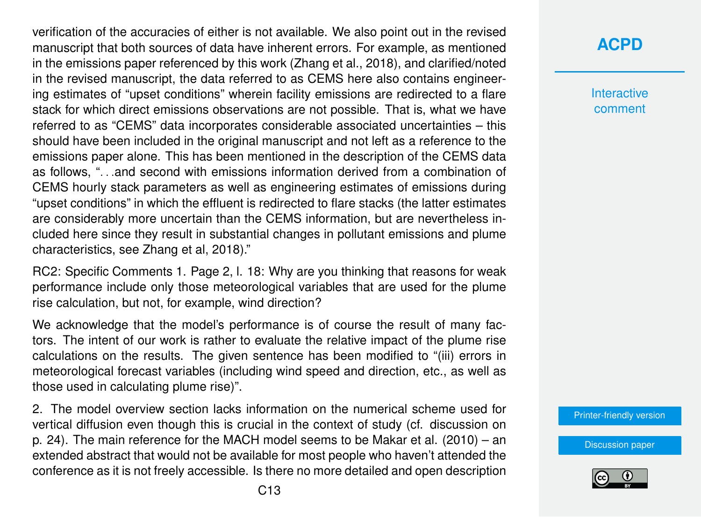verification of the accuracies of either is not available. We also point out in the revised manuscript that both sources of data have inherent errors. For example, as mentioned in the emissions paper referenced by this work (Zhang et al., 2018), and clarified/noted in the revised manuscript, the data referred to as CEMS here also contains engineering estimates of "upset conditions" wherein facility emissions are redirected to a flare stack for which direct emissions observations are not possible. That is, what we have referred to as "CEMS" data incorporates considerable associated uncertainties – this should have been included in the original manuscript and not left as a reference to the emissions paper alone. This has been mentioned in the description of the CEMS data as follows, ". . .and second with emissions information derived from a combination of CEMS hourly stack parameters as well as engineering estimates of emissions during "upset conditions" in which the effluent is redirected to flare stacks (the latter estimates are considerably more uncertain than the CEMS information, but are nevertheless included here since they result in substantial changes in pollutant emissions and plume characteristics, see Zhang et al, 2018)."

RC2: Specific Comments 1. Page 2, l. 18: Why are you thinking that reasons for weak performance include only those meteorological variables that are used for the plume rise calculation, but not, for example, wind direction?

We acknowledge that the model's performance is of course the result of many factors. The intent of our work is rather to evaluate the relative impact of the plume rise calculations on the results. The given sentence has been modified to "(iii) errors in meteorological forecast variables (including wind speed and direction, etc., as well as those used in calculating plume rise)".

2. The model overview section lacks information on the numerical scheme used for vertical diffusion even though this is crucial in the context of study (cf. discussion on p. 24). The main reference for the MACH model seems to be Makar et al. (2010) – an extended abstract that would not be available for most people who haven't attended the conference as it is not freely accessible. Is there no more detailed and open description **Interactive** comment

[Printer-friendly version](https://www.atmos-chem-phys-discuss.net/acp-2018-155/acp-2018-155-AC1-print.pdf)

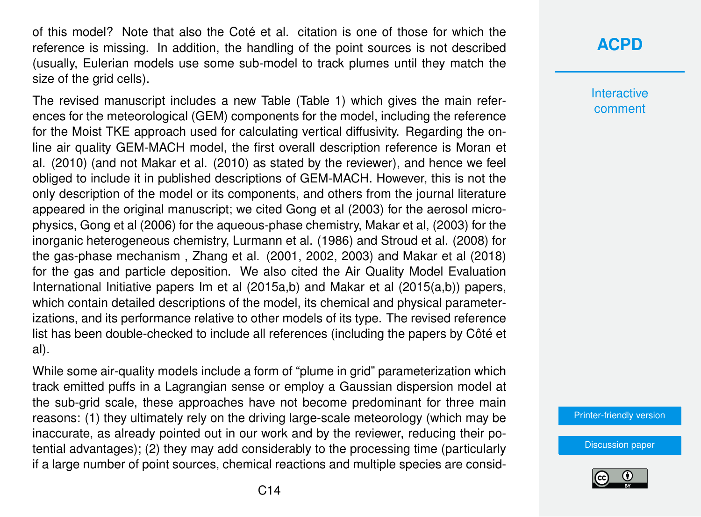of this model? Note that also the Coté et al. citation is one of those for which the reference is missing. In addition, the handling of the point sources is not described (usually, Eulerian models use some sub-model to track plumes until they match the size of the grid cells).

The revised manuscript includes a new Table (Table 1) which gives the main references for the meteorological (GEM) components for the model, including the reference for the Moist TKE approach used for calculating vertical diffusivity. Regarding the online air quality GEM-MACH model, the first overall description reference is Moran et al. (2010) (and not Makar et al. (2010) as stated by the reviewer), and hence we feel obliged to include it in published descriptions of GEM-MACH. However, this is not the only description of the model or its components, and others from the journal literature appeared in the original manuscript; we cited Gong et al (2003) for the aerosol microphysics, Gong et al (2006) for the aqueous-phase chemistry, Makar et al, (2003) for the inorganic heterogeneous chemistry, Lurmann et al. (1986) and Stroud et al. (2008) for the gas-phase mechanism , Zhang et al. (2001, 2002, 2003) and Makar et al (2018) for the gas and particle deposition. We also cited the Air Quality Model Evaluation International Initiative papers Im et al (2015a,b) and Makar et al (2015(a,b)) papers, which contain detailed descriptions of the model, its chemical and physical parameterizations, and its performance relative to other models of its type. The revised reference list has been double-checked to include all references (including the papers by Côté et al).

While some air-quality models include a form of "plume in grid" parameterization which track emitted puffs in a Lagrangian sense or employ a Gaussian dispersion model at the sub-grid scale, these approaches have not become predominant for three main reasons: (1) they ultimately rely on the driving large-scale meteorology (which may be inaccurate, as already pointed out in our work and by the reviewer, reducing their potential advantages); (2) they may add considerably to the processing time (particularly if a large number of point sources, chemical reactions and multiple species are consid-

#### **[ACPD](https://www.atmos-chem-phys-discuss.net/)**

**Interactive** comment

[Printer-friendly version](https://www.atmos-chem-phys-discuss.net/acp-2018-155/acp-2018-155-AC1-print.pdf)

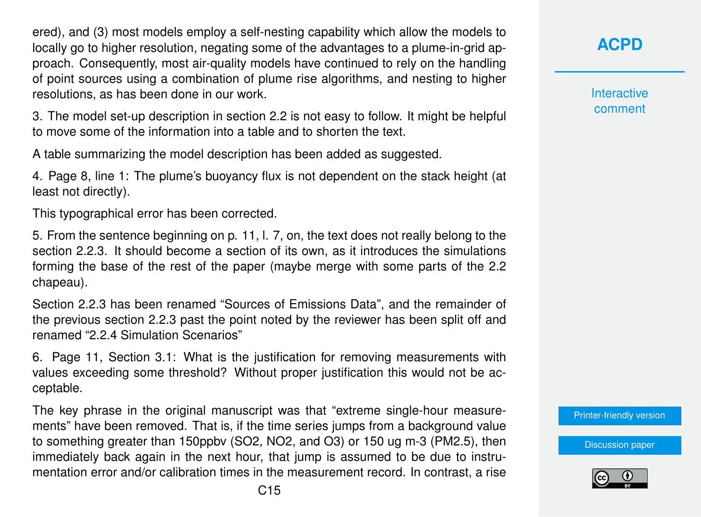ered), and (3) most models employ a self-nesting capability which allow the models to locally go to higher resolution, negating some of the advantages to a plume-in-grid approach. Consequently, most air-quality models have continued to rely on the handling of point sources using a combination of plume rise algorithms, and nesting to higher resolutions, as has been done in our work.

3. The model set-up description in section 2.2 is not easy to follow. It might be helpful to move some of the information into a table and to shorten the text.

A table summarizing the model description has been added as suggested.

4. Page 8, line 1: The plume's buoyancy flux is not dependent on the stack height (at least not directly).

This typographical error has been corrected.

5. From the sentence beginning on p. 11, l. 7, on, the text does not really belong to the section 2.2.3. It should become a section of its own, as it introduces the simulations forming the base of the rest of the paper (maybe merge with some parts of the 2.2 chapeau).

Section 2.2.3 has been renamed "Sources of Emissions Data", and the remainder of the previous section 2.2.3 past the point noted by the reviewer has been split off and renamed "2.2.4 Simulation Scenarios"

6. Page 11, Section 3.1: What is the justification for removing measurements with values exceeding some threshold? Without proper justification this would not be acceptable.

The key phrase in the original manuscript was that "extreme single-hour measurements" have been removed. That is, if the time series jumps from a background value to something greater than 150ppbv (SO2, NO2, and O3) or 150 ug m-3 (PM2.5), then immediately back again in the next hour, that jump is assumed to be due to instrumentation error and/or calibration times in the measurement record. In contrast, a rise **[ACPD](https://www.atmos-chem-phys-discuss.net/)**

**Interactive** comment

[Printer-friendly version](https://www.atmos-chem-phys-discuss.net/acp-2018-155/acp-2018-155-AC1-print.pdf)

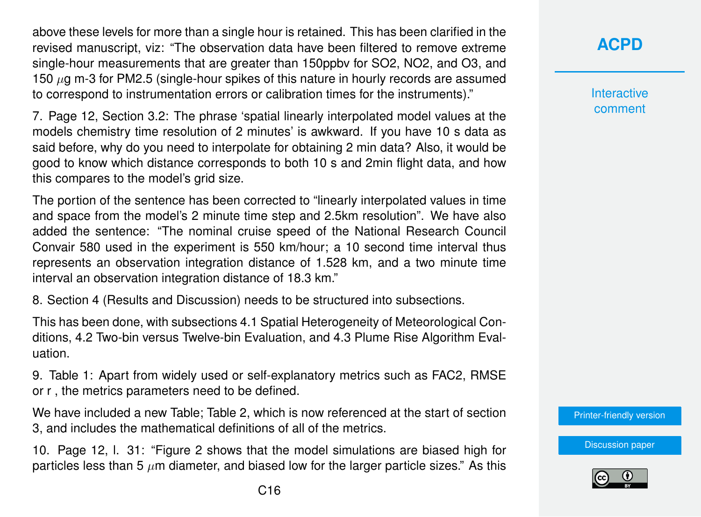above these levels for more than a single hour is retained. This has been clarified in the revised manuscript, viz: "The observation data have been filtered to remove extreme single-hour measurements that are greater than 150ppbv for SO2, NO2, and O3, and 150  $\mu$ g m-3 for PM2.5 (single-hour spikes of this nature in hourly records are assumed to correspond to instrumentation errors or calibration times for the instruments)."

7. Page 12, Section 3.2: The phrase 'spatial linearly interpolated model values at the models chemistry time resolution of 2 minutes' is awkward. If you have 10 s data as said before, why do you need to interpolate for obtaining 2 min data? Also, it would be good to know which distance corresponds to both 10 s and 2min flight data, and how this compares to the model's grid size.

The portion of the sentence has been corrected to "linearly interpolated values in time and space from the model's 2 minute time step and 2.5km resolution". We have also added the sentence: "The nominal cruise speed of the National Research Council Convair 580 used in the experiment is 550 km/hour; a 10 second time interval thus represents an observation integration distance of 1.528 km, and a two minute time interval an observation integration distance of 18.3 km."

8. Section 4 (Results and Discussion) needs to be structured into subsections.

This has been done, with subsections 4.1 Spatial Heterogeneity of Meteorological Conditions, 4.2 Two-bin versus Twelve-bin Evaluation, and 4.3 Plume Rise Algorithm Evaluation.

9. Table 1: Apart from widely used or self-explanatory metrics such as FAC2, RMSE or r , the metrics parameters need to be defined.

We have included a new Table; Table 2, which is now referenced at the start of section 3, and includes the mathematical definitions of all of the metrics.

10. Page 12, l. 31: "Figure 2 shows that the model simulations are biased high for particles less than 5  $\mu$ m diameter, and biased low for the larger particle sizes." As this **Interactive** comment

[Printer-friendly version](https://www.atmos-chem-phys-discuss.net/acp-2018-155/acp-2018-155-AC1-print.pdf)

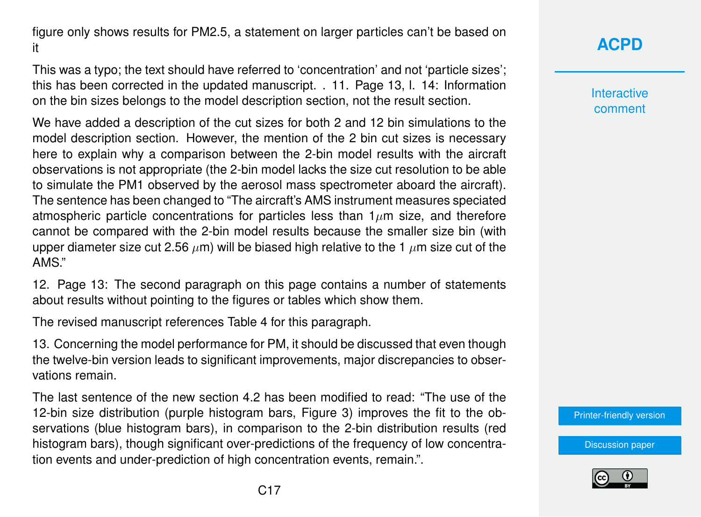figure only shows results for PM2.5, a statement on larger particles can't be based on it

This was a typo; the text should have referred to 'concentration' and not 'particle sizes'; this has been corrected in the updated manuscript. . 11. Page 13, l. 14: Information on the bin sizes belongs to the model description section, not the result section.

We have added a description of the cut sizes for both 2 and 12 bin simulations to the model description section. However, the mention of the 2 bin cut sizes is necessary here to explain why a comparison between the 2-bin model results with the aircraft observations is not appropriate (the 2-bin model lacks the size cut resolution to be able to simulate the PM1 observed by the aerosol mass spectrometer aboard the aircraft). The sentence has been changed to "The aircraft's AMS instrument measures speciated atmospheric particle concentrations for particles less than  $1\mu$ m size, and therefore cannot be compared with the 2-bin model results because the smaller size bin (with upper diameter size cut 2.56  $\mu$ m) will be biased high relative to the 1  $\mu$ m size cut of the AMS."

12. Page 13: The second paragraph on this page contains a number of statements about results without pointing to the figures or tables which show them.

The revised manuscript references Table 4 for this paragraph.

13. Concerning the model performance for PM, it should be discussed that even though the twelve-bin version leads to significant improvements, major discrepancies to observations remain.

The last sentence of the new section 4.2 has been modified to read: "The use of the 12-bin size distribution (purple histogram bars, Figure 3) improves the fit to the observations (blue histogram bars), in comparison to the 2-bin distribution results (red histogram bars), though significant over-predictions of the frequency of low concentration events and under-prediction of high concentration events, remain.".

## **[ACPD](https://www.atmos-chem-phys-discuss.net/)**

**Interactive** comment

[Printer-friendly version](https://www.atmos-chem-phys-discuss.net/acp-2018-155/acp-2018-155-AC1-print.pdf)

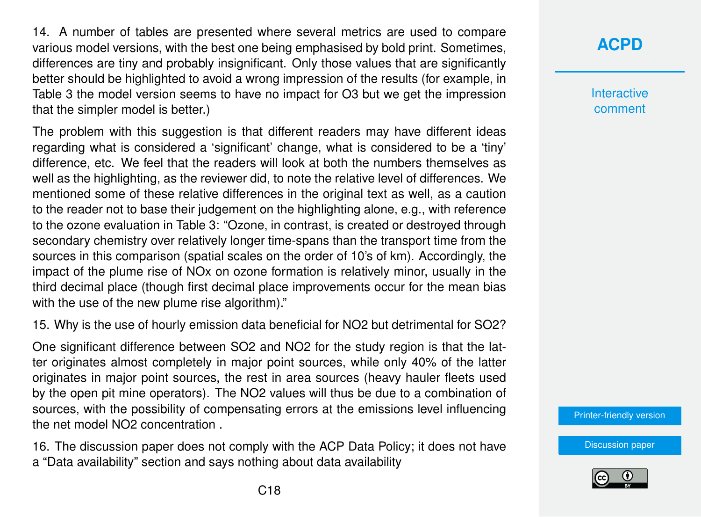14. A number of tables are presented where several metrics are used to compare various model versions, with the best one being emphasised by bold print. Sometimes, differences are tiny and probably insignificant. Only those values that are significantly better should be highlighted to avoid a wrong impression of the results (for example, in Table 3 the model version seems to have no impact for O3 but we get the impression that the simpler model is better.)

The problem with this suggestion is that different readers may have different ideas regarding what is considered a 'significant' change, what is considered to be a 'tiny' difference, etc. We feel that the readers will look at both the numbers themselves as well as the highlighting, as the reviewer did, to note the relative level of differences. We mentioned some of these relative differences in the original text as well, as a caution to the reader not to base their judgement on the highlighting alone, e.g., with reference to the ozone evaluation in Table 3: "Ozone, in contrast, is created or destroyed through secondary chemistry over relatively longer time-spans than the transport time from the sources in this comparison (spatial scales on the order of 10's of km). Accordingly, the impact of the plume rise of NOx on ozone formation is relatively minor, usually in the third decimal place (though first decimal place improvements occur for the mean bias with the use of the new plume rise algorithm)."

15. Why is the use of hourly emission data beneficial for NO2 but detrimental for SO2?

One significant difference between SO2 and NO2 for the study region is that the latter originates almost completely in major point sources, while only 40% of the latter originates in major point sources, the rest in area sources (heavy hauler fleets used by the open pit mine operators). The NO2 values will thus be due to a combination of sources, with the possibility of compensating errors at the emissions level influencing the net model NO2 concentration .

16. The discussion paper does not comply with the ACP Data Policy; it does not have a "Data availability" section and says nothing about data availability

### **[ACPD](https://www.atmos-chem-phys-discuss.net/)**

**Interactive** comment

[Printer-friendly version](https://www.atmos-chem-phys-discuss.net/acp-2018-155/acp-2018-155-AC1-print.pdf)